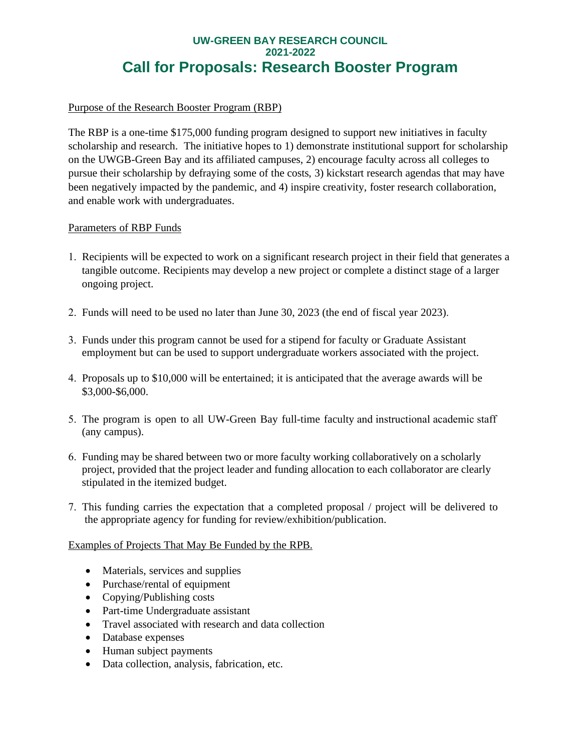# **UW-GREEN BAY RESEARCH COUNCIL 2021-2022 Call for Proposals: Research Booster Program**

### Purpose of the Research Booster Program (RBP)

The RBP is a one-time \$175,000 funding program designed to support new initiatives in faculty scholarship and research. The initiative hopes to 1) demonstrate institutional support for scholarship on the UWGB-Green Bay and its affiliated campuses, 2) encourage faculty across all colleges to pursue their scholarship by defraying some of the costs, 3) kickstart research agendas that may have been negatively impacted by the pandemic, and 4) inspire creativity, foster research collaboration, and enable work with undergraduates.

#### Parameters of RBP Funds

- 1. Recipients will be expected to work on a significant research project in their field that generates a tangible outcome. Recipients may develop a new project or complete a distinct stage of a larger ongoing project.
- 2. Funds will need to be used no later than June 30, 2023 (the end of fiscal year 2023).
- 3. Funds under this program cannot be used for a stipend for faculty or Graduate Assistant employment but can be used to support undergraduate workers associated with the project.
- 4. Proposals up to \$10,000 will be entertained; it is anticipated that the average awards will be \$3,000-\$6,000.
- 5. The program is open to all UW-Green Bay full-time faculty and instructional academic staff (any campus).
- 6. Funding may be shared between two or more faculty working collaboratively on a scholarly project, provided that the project leader and funding allocation to each collaborator are clearly stipulated in the itemized budget.
- 7. This funding carries the expectation that a completed proposal / project will be delivered to the appropriate agency for funding for review/exhibition/publication.

#### Examples of Projects That May Be Funded by the RPB.

- Materials, services and supplies
- Purchase/rental of equipment
- Copying/Publishing costs
- Part-time Undergraduate assistant
- Travel associated with research and data collection
- Database expenses
- Human subject payments
- Data collection, analysis, fabrication, etc.